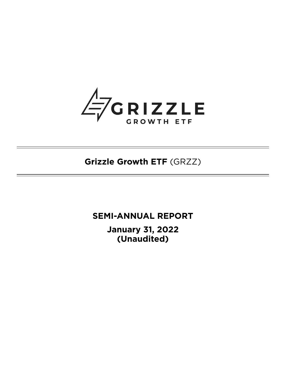

**Grizzle Growth ETF** (GRZZ)

**SEMI-ANNUAL REPORT January 31, 2022 (Unaudited)**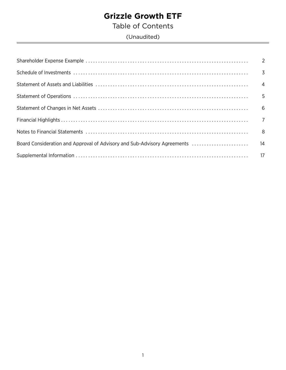Table of Contents

(Unaudited)

| $\overline{\phantom{0}}$ 8 |
|----------------------------|
|                            |
|                            |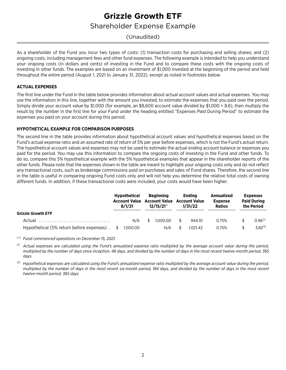# **Grizzle Growth ETF** Shareholder Expense Example

## <span id="page-3-0"></span>(Unaudited)

As a shareholder of the Fund you incur two types of costs: (1) transaction costs for purchasing and selling shares; and (2) ongoing costs, including management fees and other fund expenses. The following example is intended to help you understand your ongoing costs (in dollars and cents) of investing in the Fund and to compare these costs with the ongoing costs of investing in other funds. The examples are based on an investment of \$1,000 invested at the beginning of the period and held throughout the entire period (August 1, 2021 to January 31, 2022), except as noted in footnotes below.

#### **ACTUAL EXPENSES**

The first line under the Fund in the table below provides information about actual account values and actual expenses. You may use the information in this line, together with the amount you invested, to estimate the expenses that you paid over the period. Simply divide your account value by \$1,000 (for example, an \$8,600 account value divided by \$1,000 = 8.6), then multiply the result by the number in the first line for your Fund under the heading entitled "Expenses Paid During Period" to estimate the expenses you paid on your account during this period.

#### **HYPOTHETICAL EXAMPLE FOR COMPARISON PURPOSES**

The second line in the table provides information about hypothetical account values and hypothetical expenses based on the Fund's actual expense ratio and an assumed rate of return of 5% per year before expenses, which is not the Fund's actual return. The hypothetical account values and expenses may not be used to estimate the actual ending account balance or expenses you paid for the period. You may use this information to compare the ongoing costs of investing in the Fund and other funds. To do so, compare this 5% hypothetical example with the 5% hypothetical examples that appear in the shareholder reports of the other funds. Please note that the expenses shown in the table are meant to highlight your ongoing costs only and do not reflect any transactional costs, such as brokerage commissions paid on purchases and sales of Fund shares. Therefore, the second line in the table is useful in comparing ongoing Fund costs only and will not help you determine the relative total costs of owning different funds. In addition, if these transactional costs were included, your costs would have been higher.

|                                                        | <b>Hypothetical</b><br>8/1/21 |     | Beginning<br><b>Account Value Account Value Account Value</b><br>$12/15/21^{\circ}$ |          | <b>Endina</b><br>1/31/22 |          | Annualized<br><b>Expense</b><br><b>Ratios</b> | <b>Expenses</b><br><b>Paid During</b><br>the Period |              |
|--------------------------------------------------------|-------------------------------|-----|-------------------------------------------------------------------------------------|----------|--------------------------|----------|-----------------------------------------------|-----------------------------------------------------|--------------|
| <b>Grizzle Growth ETF</b>                              |                               |     |                                                                                     |          |                          |          |                                               |                                                     |              |
| Actual                                                 |                               | N/A | S.                                                                                  | 1.000.00 | S.                       | 944.10   | 0.75%                                         |                                                     | $0.96^{(1)}$ |
| Hypothetical (5% return before expenses) . \$ 1,000.00 |                               |     |                                                                                     | N/A      |                          | 1.021.42 | 0.75%                                         |                                                     | $3.82^{(2)}$ |

*( ^) Fund commenced operations on December 15, 2021.*

 $<sup>0</sup>$  Actual expenses are calculated using the Fund's annualized expense ratio multiplied by the average account value during the period,</sup> *multiplied by the number of days since inception, 48 days, and divided by the number of days in the most recent twelve-month period, 365 days.*

*(2) Hypothetical expenses are calculated using the Fund's annualized expense ratio multiplied by the average account value during the period, multiplied by the number of days in the most recent six-month period, 184 days, and divided by the number of days in the most recent twelve-month period, 365 days.*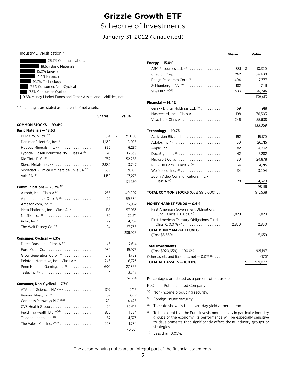# **Grizzle Growth ETF** Schedule of Investments

January 31, 2022 (Unaudited)

#### Industry Diversification \*

| 25.7% Communications                                          |
|---------------------------------------------------------------|
| 18.6% Basic Materials                                         |
| 15.0% Energy                                                  |
| 14.4% Financial                                               |
| 10.7% Technology                                              |
| 7.7% Consumer, Non-Cyclical                                   |
| 7.3% Consumer, Cyclical                                       |
| 0.6% Money Market Funds and Other Assets and Liabilities, net |
|                                                               |

 $chence$ 

 $V_{\rm{min}}$ 

\* Percentages are stated as a percent of net assets.

| 614 | \$                      | 39,050  |
|-----|-------------------------|---------|
|     |                         | 8,206   |
| 869 |                         | 6,257   |
| 141 |                         | 13,639  |
| 732 |                         | 52,265  |
|     |                         | 3,747   |
| 569 |                         | 30,811  |
|     |                         | 17,275  |
|     |                         | 171,250 |
|     |                         |         |
| 265 |                         | 40,802  |
| 22  |                         | 59,534  |
| 8   |                         | 23.932  |
| 185 |                         | 57,953  |
| 52  |                         | 22,211  |
| 29  |                         | 4,757   |
| 194 |                         | 27,736  |
|     |                         | 236,925 |
|     |                         |         |
| 146 |                         | 7,614   |
| 984 |                         | 19,975  |
| 212 |                         | 1,789   |
| 246 |                         | 6,723   |
| 600 |                         | 27,366  |
| 4   |                         | 3,747   |
|     |                         | 67,214  |
|     |                         |         |
| 397 |                         | 2,116   |
| 57  |                         | 3,712   |
| 281 |                         | 4,426   |
| 494 |                         | 52,616  |
| 856 |                         | 1,584   |
| 57  |                         | 4,373   |
| 908 |                         | 1,734   |
|     |                         | 70,561  |
|     | 1,638<br>2,882<br>1,138 |         |

<span id="page-4-0"></span>

|                                                                    | <b>Shares</b> | Value         |
|--------------------------------------------------------------------|---------------|---------------|
| Energy $-15.0\%$                                                   |               |               |
| ARC Resources Ltd. (b)                                             | 881           | \$<br>10,320  |
|                                                                    | 262           | 34,409        |
| Range Resources Corp. (a)                                          | 404           | 7,777         |
| Schlumberger NV <sup>(b)</sup>                                     | 182           | 7,111         |
| Shell PLC $(a)(b)$                                                 | 1,533         | 78,796        |
|                                                                    |               | 138,413       |
| Financial - 14.4%                                                  |               |               |
| Galaxy Digital Holdings Ltd. (b)                                   | 69            | 918           |
| Mastercard, Inc. - Class A                                         | 198           | 76,503        |
| Visa, Inc. - Class A                                               | 246           | 55,638        |
|                                                                    |               | 133,059       |
| Technology - 10.7%                                                 |               |               |
| Activision Blizzard, Inc.                                          | 192           | 15,170        |
|                                                                    | 50            | 26,715        |
|                                                                    | 82            | 14,332        |
|                                                                    | 42            | 5,282         |
| Microsoft Corp.                                                    | 80            | 24,878        |
| ROBLOX Corp. - Class A <sup>(a)</sup>                              | 64            | 4,215         |
|                                                                    | 34            | 3,204         |
| Zoom Video Communications, Inc. -                                  |               |               |
| Class A $^{(a)}$                                                   | 28            | 4,320         |
|                                                                    |               | 98,116        |
| <b>TOTAL COMMON STOCKS (Cost \$915,000)</b>                        |               | 915,538       |
| <b>MONEY MARKET FUNDS - 0.6%</b>                                   |               |               |
| <b>First American Government Obligations</b>                       |               |               |
| Fund - Class X, 0.03% (c)                                          | 2,829         | 2,829         |
| First American Treasury Obligations Fund -<br>Class X, 0.01% $(6)$ |               |               |
| <b>TOTAL MONEY MARKET FUNDS</b>                                    | 2,830         | 2,830         |
| $(Cost $5,659)$                                                    |               | 5,659         |
| <b>Total Investments</b>                                           |               |               |
| $(Cost $920,659) - 100.0% \dots \dots \dots$                       |               | 921,197       |
| Other assets and liabilities, net $-0.0\%$ <sup>(e)</sup>          |               | (170)         |
| <b>TOTAL NET ASSETS - 100.0%</b>                                   |               | \$<br>921,027 |

 $PLC$ **Public Limited Company** 

- (a) Non-income producing security.
- (b) Foreign issued security.
- <sup>(c)</sup> The rate shown is the seven-day yield at period end.
- (d) To the extent that the Fund invests more heavily in particular industry groups of the economy, its performance will be especially sensitive to developments that significantly affect those industry groups or strategies.
- $(e)$  Less than 0.05%.

The accompanying notes are an integral part of the financial statements.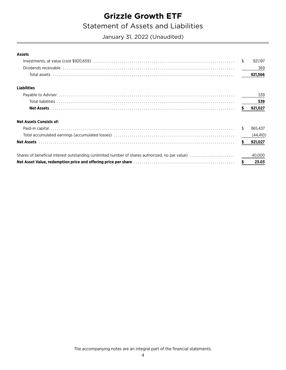# **Statement of Assets and Liabilities**

<span id="page-5-0"></span>January 31, 2022 (Unaudited)

#### **Assets**

|                                                                                                 | \$     | 921.197   |
|-------------------------------------------------------------------------------------------------|--------|-----------|
|                                                                                                 |        | 369       |
|                                                                                                 |        | 921,566   |
| <b>Liabilities</b>                                                                              |        |           |
|                                                                                                 |        | 539       |
|                                                                                                 |        | 539       |
|                                                                                                 |        | 921,027   |
| <b>Net Assets Consists of:</b>                                                                  |        |           |
|                                                                                                 | S      | 965,437   |
|                                                                                                 |        | (44, 410) |
|                                                                                                 |        | 921,027   |
| Shares of beneficial interest outstanding (unlimited number of shares authorized, no par value) |        | 40,000    |
|                                                                                                 | $\sim$ | 23.03     |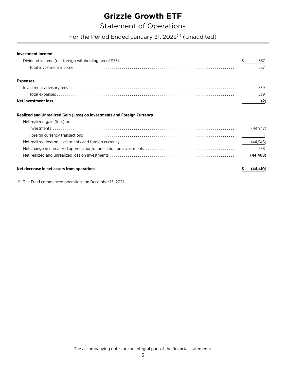## **Statement of Operations**

For the Period Ended January 31, 2022<sup>(1)</sup> (Unaudited)

<span id="page-6-0"></span> $\frac{1}{2}$ 

537

537

539

539

 $(2)$ 

## **Expenses**

**Investment Income** 

#### Realized and Unrealized Gain (Loss) on Investments and Foreign Currency

| Net decrease in net assets from operations measure in the contract of the set of the set of the set of the set o |          |  |
|------------------------------------------------------------------------------------------------------------------|----------|--|
|                                                                                                                  |          |  |
|                                                                                                                  |          |  |
|                                                                                                                  |          |  |
|                                                                                                                  |          |  |
|                                                                                                                  | (44.947) |  |
| Net realized gain (loss) on:                                                                                     |          |  |
|                                                                                                                  |          |  |

<sup>(1)</sup> The Fund commenced operations on December 15, 2021.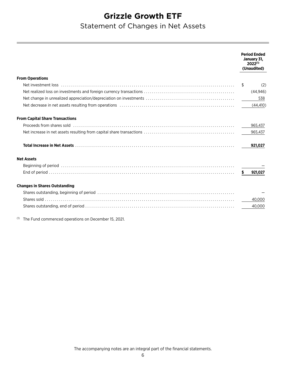# <span id="page-7-0"></span>Statement of Changes in Net Assets

|                                                                                                                | <b>Period Ended</b><br>January 31,<br>$2022^{(1)}$<br>(Unaudited) |
|----------------------------------------------------------------------------------------------------------------|-------------------------------------------------------------------|
| <b>From Operations</b>                                                                                         |                                                                   |
|                                                                                                                | (2)<br>S                                                          |
|                                                                                                                | (44, 946)                                                         |
|                                                                                                                | 538                                                               |
| Net decrease in net assets resulting from operations (all interactions) and the content of the create in the c | (44, 410)                                                         |
| <b>From Capital Share Transactions</b>                                                                         |                                                                   |
|                                                                                                                | 965,437                                                           |
|                                                                                                                | 965,437                                                           |
|                                                                                                                | 921,027                                                           |
| <b>Net Assets</b>                                                                                              |                                                                   |
|                                                                                                                |                                                                   |
|                                                                                                                | \$921,027                                                         |
| <b>Changes in Shares Outstanding</b>                                                                           |                                                                   |
|                                                                                                                |                                                                   |
|                                                                                                                | 40,000                                                            |
|                                                                                                                | 40,000                                                            |
| $T = 1$ $T = 0.001$                                                                                            |                                                                   |

 $^{(1)}$  The Fund commenced operations on December 15, 2021.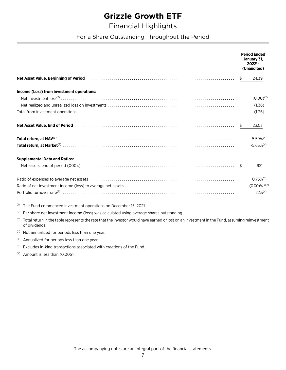# <span id="page-8-0"></span>**Financial Highlights**

For a Share Outstanding Throughout the Period

|                                                                                                                                                                                                                                |    | <b>Period Ended</b><br>January 31,<br>$2022^{(1)}$<br>(Unaudited) |
|--------------------------------------------------------------------------------------------------------------------------------------------------------------------------------------------------------------------------------|----|-------------------------------------------------------------------|
| Net Asset Value, Beginning of Period (and the contract of the contract of the contract of the contract of the c                                                                                                                | \$ | 24.39                                                             |
| Income (Loss) from investment operations:                                                                                                                                                                                      |    |                                                                   |
|                                                                                                                                                                                                                                |    | $(0.00)^{(7)}$                                                    |
|                                                                                                                                                                                                                                |    | (1.36)                                                            |
| Total from investment operations (all contains) and the container container and the container container and the container container and the container container and the container container and the container container and fo |    | (1.36)                                                            |
|                                                                                                                                                                                                                                |    | 23.03                                                             |
|                                                                                                                                                                                                                                |    | $-5.59%$ <sup>(4)</sup>                                           |
|                                                                                                                                                                                                                                |    | $-5.63%^{(4)}$                                                    |
| <b>Supplemental Data and Ratios:</b>                                                                                                                                                                                           |    |                                                                   |
|                                                                                                                                                                                                                                |    | 921                                                               |
|                                                                                                                                                                                                                                |    | $0.75\%$ <sup>(5)</sup>                                           |
|                                                                                                                                                                                                                                |    | $(0.00) \%^{(5)(7)}$                                              |
|                                                                                                                                                                                                                                |    | $22\%^{(4)}$                                                      |
| <sup>(1)</sup> The Fund commenced investment operations on December 15, 2021.                                                                                                                                                  |    |                                                                   |

- <sup>(2)</sup> Per share net investment income (loss) was calculated using average shares outstanding.
- (3) Total return in the table represents the rate that the investor would have earned or lost on an investment in the Fund, assuming reinvestment of dividends.
- <sup>(4)</sup> Not annualized for periods less than one year.
- Annualized for periods less than one year.  $(5)$
- <sup>(6)</sup> Excludes in-kind transactions associated with creations of the Fund.
- $(7)$  Amount is less than (0.005).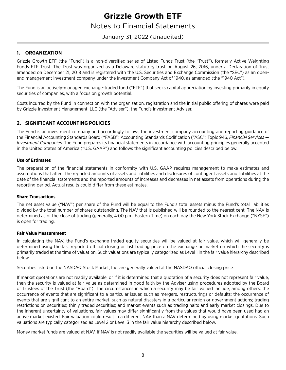## Notes to Financial Statements

### <span id="page-9-0"></span>January 31, 2022 (Unaudited)

### **1. ORGANIZATION**

Grizzle Growth ETF (the "Fund") is a non-diversified series of Listed Funds Trust (the "Trust"), formerly Active Weighting Funds ETF Trust. The Trust was organized as a Delaware statutory trust on August 26, 2016, under a Declaration of Trust amended on December 21, 2018 and is registered with the U.S. Securities and Exchange Commission (the "SEC") as an openend management investment company under the Investment Company Act of 1940, as amended (the "1940 Act").

The Fund is an actively-managed exchange-traded fund ("ETF") that seeks capital appreciation by investing primarily in equity securities of companies, with a focus on growth potential.

Costs incurred by the Fund in connection with the organization, registration and the initial public offering of shares were paid by Grizzle Investment Management, LLC (the "Adviser"), the Fund's Investment Adviser.

### **2. SIGNIFICANT ACCOUNTING POLICIES**

The Fund is an investment company and accordingly follows the investment company accounting and reporting guidance of the Financial Accounting Standards Board ("FASB") Accounting Standards Codification ("ASC") Topic 946, *Financial Services — Investment Companies*. The Fund prepares its financial statements in accordance with accounting principles generally accepted in the United States of America ("U.S. GAAP") and follows the significant accounting policies described below.

#### **Use of Estimates**

The preparation of the financial statements in conformity with U.S. GAAP requires management to make estimates and assumptions that affect the reported amounts of assets and liabilities and disclosures of contingent assets and liabilities at the date of the financial statements and the reported amounts of increases and decreases in net assets from operations during the reporting period. Actual results could differ from these estimates.

#### **Share Transactions**

The net asset value ("NAV") per share of the Fund will be equal to the Fund's total assets minus the Fund's total liabilities divided by the total number of shares outstanding. The NAV that is published will be rounded to the nearest cent. The NAV is determined as of the close of trading (generally, 4:00 p.m. Eastern Time) on each day the New York Stock Exchange ("NYSE") is open for trading.

#### **Fair Value Measurement**

In calculating the NAV, the Fund's exchange-traded equity securities will be valued at fair value, which will generally be determined using the last reported official closing or last trading price on the exchange or market on which the security is primarily traded at the time of valuation. Such valuations are typically categorized as Level 1 in the fair value hierarchy described below.

Securities listed on the NASDAQ Stock Market, Inc. are generally valued at the NASDAQ official closing price.

If market quotations are not readily available, or if it is determined that a quotation of a security does not represent fair value, then the security is valued at fair value as determined in good faith by the Adviser using procedures adopted by the Board of Trustees of the Trust (the "Board"). The circumstances in which a security may be fair valued include, among others: the occurrence of events that are significant to a particular issuer, such as mergers, restructurings or defaults; the occurrence of events that are significant to an entire market, such as natural disasters in a particular region or government actions; trading restrictions on securities; thinly traded securities; and market events such as trading halts and early market closings. Due to the inherent uncertainty of valuations, fair values may differ significantly from the values that would have been used had an active market existed. Fair valuation could result in a different NAV than a NAV determined by using market quotations. Such valuations are typically categorized as Level 2 or Level 3 in the fair value hierarchy described below.

Money market funds are valued at NAV. If NAV is not readily available the securities will be valued at fair value.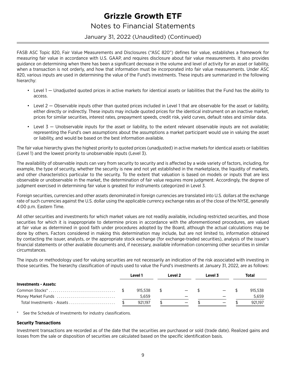## Notes to Financial Statements

### January 31, 2022 (Unaudited) (Continued)

FASB ASC Topic 820, Fair Value Measurements and Disclosures ("ASC 820") defines fair value, establishes a framework for measuring fair value in accordance with U.S. GAAP, and requires disclosure about fair value measurements. It also provides guidance on determining when there has been a significant decrease in the volume and level of activity for an asset or liability, when a transaction is not orderly, and how that information must be incorporated into fair value measurements. Under ASC 820, various inputs are used in determining the value of the Fund's investments. These inputs are summarized in the following hierarchy:

- Level 1 Unadjusted quoted prices in active markets for identical assets or liabilities that the Fund has the ability to access.
- Level 2 Observable inputs other than quoted prices included in Level 1 that are observable for the asset or liability, either directly or indirectly. These inputs may include quoted prices for the identical instrument on an inactive market, prices for similar securities, interest rates, prepayment speeds, credit risk, yield curves, default rates and similar data.
- Level 3 Unobservable inputs for the asset or liability, to the extent relevant observable inputs are not available; representing the Fund's own assumptions about the assumptions a market participant would use in valuing the asset or liability, and would be based on the best information available.

The fair value hierarchy gives the highest priority to quoted prices (unadjusted) in active markets for identical assets or liabilities (Level 1) and the lowest priority to unobservable inputs (Level 3).

The availability of observable inputs can vary from security to security and is affected by a wide variety of factors, including, for example, the type of security, whether the security is new and not yet established in the marketplace, the liquidity of markets, and other characteristics particular to the security. To the extent that valuation is based on models or inputs that are less observable or unobservable in the market, the determination of fair value requires more judgment. Accordingly, the degree of judgment exercised in determining fair value is greatest for instruments categorized in Level 3.

Foreign securities, currencies and other assets denominated in foreign currencies are translated into U.S. dollars at the exchange rate of such currencies against the U.S. dollar using the applicable currency exchange rates as of the close of the NYSE, generally 4:00 p.m. Eastern Time.

All other securities and investments for which market values are not readily available, including restricted securities, and those securities for which it is inappropriate to determine prices in accordance with the aforementioned procedures, are valued at fair value as determined in good faith under procedures adopted by the Board, although the actual calculations may be done by others. Factors considered in making this determination may include, but are not limited to, information obtained by contacting the issuer, analysts, or the appropriate stock exchange (for exchange-traded securities), analysis of the issuer's financial statements or other available documents and, if necessary, available information concerning other securities in similar circumstances.

The inputs or methodology used for valuing securities are not necessarily an indication of the risk associated with investing in those securities. The hierarchy classification of inputs used to value the Fund's investments at January 31, 2022, are as follows:

|                              |  | Level 1 |               | Level 2                  |  | Level 3 |  | Total   |
|------------------------------|--|---------|---------------|--------------------------|--|---------|--|---------|
| <b>Investments - Assets:</b> |  |         |               |                          |  |         |  |         |
|                              |  | 915.538 | $\mathcal{S}$ |                          |  |         |  | 915.538 |
| Money Market Funds           |  | 5.659   |               | –                        |  |         |  | 5,659   |
| Total Investments - Assets   |  | 921.197 |               | $\overline{\phantom{m}}$ |  |         |  | 921.197 |

See the Schedule of Investments for industry classifications.

### **Security Transactions**

Investment transactions are recorded as of the date that the securities are purchased or sold (trade date). Realized gains and losses from the sale or disposition of securities are calculated based on the specific identification basis.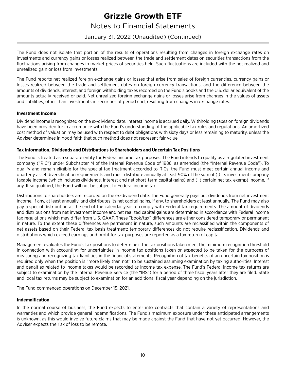## Notes to Financial Statements

January 31, 2022 (Unaudited) (Continued)

The Fund does not isolate that portion of the results of operations resulting from changes in foreign exchange rates on investments and currency gains or losses realized between the trade and settlement dates on securities transactions from the fluctuations arising from changes in market prices of securities held. Such fluctuations are included with the net realized and unrealized gain or loss from investments.

The Fund reports net realized foreign exchange gains or losses that arise from sales of foreign currencies, currency gains or losses realized between the trade and settlement dates on foreign currency transactions, and the difference between the amounts of dividends, interest, and foreign withholding taxes recorded on the Fund's books and the U.S. dollar equivalent of the amounts actually received or paid. Net unrealized foreign exchange gains or losses arise from changes in the values of assets and liabilities, other than investments in securities at period end, resulting from changes in exchange rates.

#### **Investment Income**

Dividend income is recognized on the ex-dividend date. Interest income is accrued daily. Withholding taxes on foreign dividends have been provided for in accordance with the Fund's understanding of the applicable tax rules and regulations. An amortized cost method of valuation may be used with respect to debt obligations with sixty days or less remaining to maturity, unless the Adviser determines in good faith that such method does not represent fair value.

#### **Tax Information, Dividends and Distributions to Shareholders and Uncertain Tax Positions**

The Fund is treated as a separate entity for Federal income tax purposes. The Fund intends to qualify as a regulated investment company ("RIC") under Subchapter M of the Internal Revenue Code of 1986, as amended (the "Internal Revenue Code"). To qualify and remain eligible for the special tax treatment accorded to RICs, the Fund must meet certain annual income and quarterly asset diversification requirements and must distribute annually at least 90% of the sum of (i) its investment company taxable income (which includes dividends, interest and net short-term capital gains) and (ii) certain net tax-exempt income, if any. If so qualified, the Fund will not be subject to Federal income tax.

Distributions to shareholders are recorded on the ex-dividend date. The Fund generally pays out dividends from net investment income, if any, at least annually, and distributes its net capital gains, if any, to shareholders at least annually. The Fund may also pay a special distribution at the end of the calendar year to comply with Federal tax requirements. The amount of dividends and distributions from net investment income and net realized capital gains are determined in accordance with Federal income tax regulations which may differ from U.S. GAAP. These "book/tax" differences are either considered temporary or permanent in nature. To the extent these differences are permanent in nature, such amounts are reclassified within the components of net assets based on their Federal tax basis treatment; temporary differences do not require reclassification. Dividends and distributions which exceed earnings and profit for tax purposes are reported as a tax return of capital.

Management evaluates the Fund's tax positions to determine if the tax positions taken meet the minimum recognition threshold in connection with accounting for uncertainties in income tax positions taken or expected to be taken for the purposes of measuring and recognizing tax liabilities in the financial statements. Recognition of tax benefits of an uncertain tax position is required only when the position is "more likely than not" to be sustained assuming examination by taxing authorities. Interest and penalties related to income taxes would be recorded as income tax expense. The Fund's Federal income tax returns are subject to examination by the Internal Revenue Service (the "IRS") for a period of three fiscal years after they are filed. State and local tax returns may be subject to examination for an additional fiscal year depending on the jurisdiction.

The Fund commenced operations on December 15, 2021.

#### **Indemnification**

In the normal course of business, the Fund expects to enter into contracts that contain a variety of representations and warranties and which provide general indemnifications. The Fund's maximum exposure under these anticipated arrangements is unknown, as this would involve future claims that may be made against the Fund that have not yet occurred. However, the Adviser expects the risk of loss to be remote.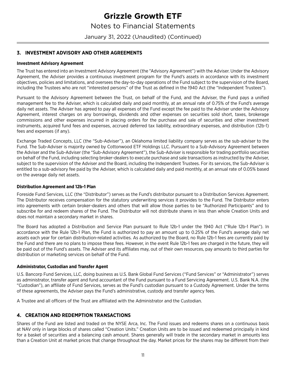January 31, 2022 (Unaudited) (Continued)

### **3. INVESTMENT ADVISORY AND OTHER AGREEMENTS**

#### **Investment Advisory Agreement**

The Trust has entered into an Investment Advisory Agreement (the "Advisory Agreement") with the Adviser. Under the Advisory Agreement, the Adviser provides a continuous investment program for the Fund's assets in accordance with its investment objectives, policies and limitations, and oversees the day-to-day operations of the Fund subject to the supervision of the Board, including the Trustees who are not "interested persons" of the Trust as defined in the 1940 Act (the "Independent Trustees").

Pursuant to the Advisory Agreement between the Trust, on behalf of the Fund, and the Adviser, the Fund pays a unified management fee to the Adviser, which is calculated daily and paid monthly, at an annual rate of 0.75% of the Fund's average daily net assets. The Adviser has agreed to pay all expenses of the Fund except the fee paid to the Adviser under the Advisory Agreement, interest charges on any borrowings, dividends and other expenses on securities sold short, taxes, brokerage commissions and other expenses incurred in placing orders for the purchase and sale of securities and other investment instruments, acquired fund fees and expenses, accrued deferred tax liability, extraordinary expenses, and distribution (12b-1) fees and expenses (if any).

Exchange Traded Concepts, LLC (the "Sub-Adviser"), an Oklahoma limited liability company serves as the sub-adviser to the Fund. The Sub-Adviser is majority owned by Cottonwood ETF Holdings LLC. Pursuant to a Sub-Advisory Agreement between the Adviser and the Sub-Adviser (the "Sub-Advisory Agreement"), the Sub-Adviser is responsible for trading portfolio securities on behalf of the Fund, including selecting broker-dealers to execute purchase and sale transactions as instructed by the Adviser, subject to the supervision of the Adviser and the Board, including the Independent Trustees. For its services, the Sub-Adviser is entitled to a sub-advisory fee paid by the Adviser, which is calculated daily and paid monthly, at an annual rate of 0.05% based on the average daily net assets.

#### **Distribution Agreement and 12b-1 Plan**

Foreside Fund Services, LLC (the "Distributor") serves as the Fund's distributor pursuant to a Distribution Services Agreement. The Distributor receives compensation for the statutory underwriting services it provides to the Fund. The Distributor enters into agreements with certain broker-dealers and others that will allow those parties to be "Authorized Participants" and to subscribe for and redeem shares of the Fund. The Distributor will not distribute shares in less than whole Creation Units and does not maintain a secondary market in shares.

The Board has adopted a Distribution and Service Plan pursuant to Rule 12b-1 under the 1940 Act ("Rule 12b-1 Plan"). In accordance with the Rule 12b-1 Plan, the Fund is authorized to pay an amount up to 0.25% of the Fund's average daily net assets each year for certain distribution-related activities. As authorized by the Board, no Rule 12b-1 fees are currently paid by the Fund and there are no plans to impose these fees. However, in the event Rule 12b-1 fees are charged in the future, they will be paid out of the Fund's assets. The Adviser and its affiliates may, out of their own resources, pay amounts to third parties for distribution or marketing services on behalf of the Fund.

#### **Administrator, Custodian and Transfer Agent**

U.S. Bancorp Fund Services, LLC, doing business as U.S. Bank Global Fund Services ("Fund Services" or "Administrator") serves as administrator, transfer agent and fund accountant of the Fund pursuant to a Fund Servicing Agreement. U.S. Bank N.A. (the "Custodian"), an affiliate of Fund Services, serves as the Fund's custodian pursuant to a Custody Agreement. Under the terms of these agreements, the Adviser pays the Fund's administrative, custody and transfer agency fees.

A Trustee and all officers of the Trust are affiliated with the Administrator and the Custodian.

### **4. CREATION AND REDEMPTION TRANSACTIONS**

Shares of the Fund are listed and traded on the NYSE Arca, Inc. The Fund issues and redeems shares on a continuous basis at NAV only in large blocks of shares called "Creation Units." Creation Units are to be issued and redeemed principally in kind for a basket of securities and a balancing cash amount. Shares generally will trade in the secondary market in amounts less than a Creation Unit at market prices that change throughout the day. Market prices for the shares may be different from their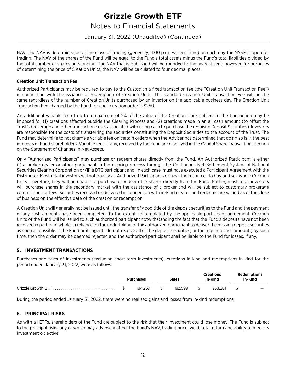## Notes to Financial Statements

### January 31, 2022 (Unaudited) (Continued)

NAV. The NAV is determined as of the close of trading (generally, 4:00 p.m. Eastern Time) on each day the NYSE is open for trading. The NAV of the shares of the Fund will be equal to the Fund's total assets minus the Fund's total liabilities divided by the total number of shares outstanding. The NAV that is published will be rounded to the nearest cent; however, for purposes of determining the price of Creation Units, the NAV will be calculated to four decimal places.

#### **Creation Unit Transaction Fee**

Authorized Participants may be required to pay to the Custodian a fixed transaction fee (the "Creation Unit Transaction Fee") in connection with the issuance or redemption of Creation Units. The standard Creation Unit Transaction Fee will be the same regardless of the number of Creation Units purchased by an investor on the applicable business day. The Creation Unit Transaction Fee charged by the Fund for each creation order is \$250.

An additional variable fee of up to a maximum of 2% of the value of the Creation Units subject to the transaction may be imposed for (1) creations effected outside the Clearing Process and (2) creations made in an all cash amount (to offset the Trust's brokerage and other transaction costs associated with using cash to purchase the requisite Deposit Securities). Investors are responsible for the costs of transferring the securities constituting the Deposit Securities to the account of the Trust. The Fund may determine to not charge a variable fee on certain orders when the Adviser has determined that doing so is in the best interests of Fund shareholders. Variable fees, if any, received by the Fund are displayed in the Capital Share Transactions section on the Statement of Changes in Net Assets.

Only "Authorized Participants" may purchase or redeem shares directly from the Fund. An Authorized Participant is either (i) a broker-dealer or other participant in the clearing process through the Continuous Net Settlement System of National Securities Clearing Corporation or (ii) a DTC participant and, in each case, must have executed a Participant Agreement with the Distributor. Most retail investors will not qualify as Authorized Participants or have the resources to buy and sell whole Creation Units. Therefore, they will be unable to purchase or redeem the shares directly from the Fund. Rather, most retail investors will purchase shares in the secondary market with the assistance of a broker and will be subject to customary brokerage commissions or fees. Securities received or delivered in connection with in-kind creates and redeems are valued as of the close of business on the effective date of the creation or redemption.

A Creation Unit will generally not be issued until the transfer of good title of the deposit securities to the Fund and the payment of any cash amounts have been completed. To the extent contemplated by the applicable participant agreement, Creation Units of the Fund will be issued to such authorized participant notwithstanding the fact that the Fund's deposits have not been received in part or in whole, in reliance on the undertaking of the authorized participant to deliver the missing deposit securities as soon as possible. If the Fund or its agents do not receive all of the deposit securities, or the required cash amounts, by such time, then the order may be deemed rejected and the authorized participant shall be liable to the Fund for losses, if any.

### **5. INVESTMENT TRANSACTIONS**

Purchases and sales of investments (excluding short-term investments), creations in-kind and redemptions in-kind for the period ended January 31, 2022, were as follows:

|                     | Purchases | <b>Sales</b> | Creations<br>In-Kind | <b>Redemptions</b><br>In-Kind |
|---------------------|-----------|--------------|----------------------|-------------------------------|
| Grizzle Growth ETF. | 184.269   | 182.599      | 958.281              |                               |

During the period ended January 31, 2022, there were no realized gains and losses from in-kind redemptions.

### **6. PRINCIPAL RISKS**

As with all ETFs, shareholders of the Fund are subject to the risk that their investment could lose money. The Fund is subject to the principal risks, any of which may adversely affect the Fund's NAV, trading price, yield, total return and ability to meet its investment objective.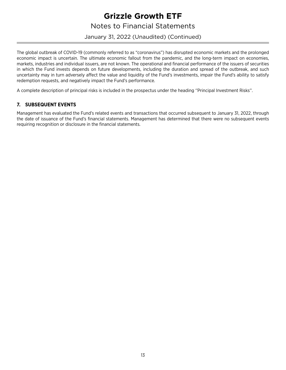## Notes to Financial Statements

January 31, 2022 (Unaudited) (Continued)

The global outbreak of COVID-19 (commonly referred to as "coronavirus") has disrupted economic markets and the prolonged economic impact is uncertain. The ultimate economic fallout from the pandemic, and the long-term impact on economies, markets, industries and individual issuers, are not known. The operational and financial performance of the issuers of securities in which the Fund invests depends on future developments, including the duration and spread of the outbreak, and such uncertainty may in turn adversely affect the value and liquidity of the Fund's investments, impair the Fund's ability to satisfy redemption requests, and negatively impact the Fund's performance.

A complete description of principal risks is included in the prospectus under the heading ''Principal Investment Risks''.

### **7. SUBSEQUENT EVENTS**

Management has evaluated the Fund's related events and transactions that occurred subsequent to January 31, 2022, through the date of issuance of the Fund's financial statements. Management has determined that there were no subsequent events requiring recognition or disclosure in the financial statements.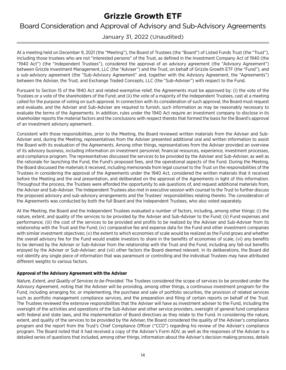<span id="page-15-0"></span>Board Consideration and Approval of Advisory and Sub-Advisory Agreements

## January 31, 2022 (Unaudited)

At a meeting held on December 9, 2021 (the "Meeting"), the Board of Trustees (the "Board") of Listed Funds Trust (the "Trust"), including those trustees who are not "interested persons" of the Trust, as defined in the Investment Company Act of 1940 (the "1940 Act") (the "Independent Trustees"), considered the approval of an advisory agreement (the "Advisory Agreement") between Grizzle Investment Management, LLC (the "Adviser") and the Trust, on behalf of Grizzle Growth ETF (the "Fund"), and a sub-advisory agreement (the "Sub-Advisory Agreement" and, together with the Advisory Agreement, the "Agreements") between the Adviser, the Trust, and Exchange Traded Concepts, LLC (the "Sub-Adviser") with respect to the Fund.

Pursuant to Section 15 of the 1940 Act and related exemptive relief, the Agreements must be approved by: (i) the vote of the Trustees or a vote of the shareholders of the Fund; and (ii) the vote of a majority of the Independent Trustees, cast at a meeting called for the purpose of voting on such approval. In connection with its consideration of such approval, the Board must request and evaluate, and the Adviser and Sub-Adviser are required to furnish, such information as may be reasonably necessary to evaluate the terms of the Agreements. In addition, rules under the 1940 Act require an investment company to disclose in its shareholder reports the material factors and the conclusions with respect thereto that formed the basis for the Board's approval of an investment advisory agreement.

Consistent with those responsibilities, prior to the Meeting, the Board reviewed written materials from the Adviser and Sub-Adviser and, during the Meeting, representatives from the Adviser presented additional oral and written information to assist the Board with its evaluation of the Agreements. Among other things, representatives from the Adviser provided an overview of its advisory business, including information on investment personnel, financial resources, experience, investment processes, and compliance program. The representatives discussed the services to be provided by the Adviser and Sub-Adviser, as well as the rationale for launching the Fund, the Fund's proposed fees, and the operational aspects of the Fund. During the Meeting, the Board discussed the materials it received, including memoranda from legal counsel to the Trust on the responsibilities of the Trustees in considering the approval of the Agreements under the 1940 Act, considered the written materials that it received before the Meeting and the oral presentation, and deliberated on the approval of the Agreements in light of this information. Throughout the process, the Trustees were afforded the opportunity to ask questions of, and request additional materials from, the Adviser and Sub-Adviser. The Independent Trustees also met in executive session with counsel to the Trust to further discuss the proposed advisory and sub-advisory arrangements and the Trustees' responsibilities relating thereto. The consideration of the Agreements was conducted by both the full Board and the Independent Trustees, who also voted separately.

At the Meeting, the Board and the Independent Trustees evaluated a number of factors, including, among other things: (i) the nature, extent, and quality of the services to be provided by the Adviser and Sub-Adviser to the Fund; (ii) Fund expenses and performance; (iii) the cost of the services to be provided and profits to be realized by the Adviser and Sub-Adviser from its relationship with the Trust and the Fund; (iv) comparative fee and expense data for the Fund and other investment companies with similar investment objectives; (v) the extent to which economies of scale would be realized as the Fund grows and whether the overall advisory fee for the Fund would enable investors to share in the benefits of economies of scale; (vi) any benefits to be derived by the Adviser or Sub-Adviser from the relationship with the Trust and the Fund, including any fall-out benefits enjoyed by the Adviser or Sub-Adviser; and (vii) other factors the Board deemed relevant. In its deliberations, the Board did not identify any single piece of information that was paramount or controlling and the individual Trustees may have attributed different weights to various factors.

#### **Approval of the Advisory Agreement with the Adviser**

*Nature, Extent, and Quality of Services to be Provided*. The Trustees considered the scope of services to be provided under the Advisory Agreement, noting that the Adviser will be providing, among other things, a continuous investment program for the Fund, including arranging for, or implementing, the purchase and sale of portfolio securities, the provision of related services such as portfolio management compliance services, and the preparation and filing of certain reports on behalf of the Trust. The Trustees reviewed the extensive responsibilities that the Adviser will have as investment adviser to the Fund, including the oversight of the activities and operations of the Sub-Adviser and other service providers, oversight of general fund compliance with federal and state laws, and the implementation of Board directives as they relate to the Fund. In considering the nature, extent, and quality of the services to be provided by the Adviser, the Board considered the quality of the Adviser's compliance program and the report from the Trust's Chief Compliance Officer ("CCO") regarding his review of the Adviser's compliance program. The Board noted that it had received a copy of the Adviser's Form ADV, as well as the responses of the Adviser to a detailed series of questions that included, among other things, information about the Adviser's decision making process, details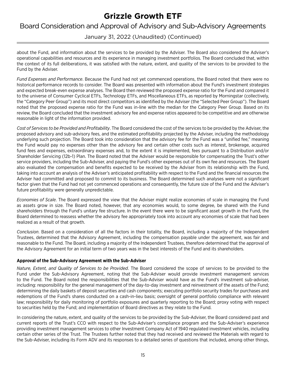## Board Consideration and Approval of Advisory and Sub-Advisory Agreements

January 31, 2022 (Unaudited) (Continued)

about the Fund, and information about the services to be provided by the Adviser. The Board also considered the Adviser's operational capabilities and resources and its experience in managing investment portfolios. The Board concluded that, within the context of its full deliberations, it was satisfied with the nature, extent, and quality of the services to be provided to the Fund by the Adviser.

*Fund Expenses and Performance*. Because the Fund had not yet commenced operations, the Board noted that there were no historical performance records to consider. The Board was presented with information about the Fund's investment strategies and expected break-even expense analyses. The Board then reviewed the proposed expense ratio for the Fund and compared it to the universe of Consumer Cyclical ETFs, Technology ETFs, and Miscellaneous ETFs, as reported by Morningstar (collectively, the "Category Peer Group") and its most direct competitors as identified by the Adviser (the "Selected Peer Group"). The Board noted that the proposed expense ratio for the Fund was in-line with the median for the Category Peer Group. Based on its review, the Board concluded that the investment advisory fee and expense ratios appeared to be competitive and are otherwise reasonable in light of the information provided.

*Cost of Services to be Provided and Profitability*. The Board considered the cost of the services to be provided by the Adviser, the proposed advisory and sub-advisory fees, and the estimated profitability projected by the Adviser, including the methodology underlying such projection. The Board took into consideration that the advisory fee for the Fund was a "unified fee," meaning the Fund would pay no expenses other than the advisory fee and certain other costs such as interest, brokerage, acquired fund fees and expenses, extraordinary expenses and, to the extent it is implemented, fees pursuant to a Distribution and/or Shareholder Servicing (12b-1) Plan. The Board noted that the Adviser would be responsible for compensating the Trust's other service providers, including the Sub-Adviser, and paying the Fund's other expenses out of its own fee and resources. The Board also evaluated the compensation and benefits expected to be received by the Adviser from its relationship with the Fund, taking into account an analysis of the Adviser's anticipated profitability with respect to the Fund and the financial resources the Adviser had committed and proposed to commit to its business. The Board determined such analyses were not a significant factor given that the Fund had not yet commenced operations and consequently, the future size of the Fund and the Adviser's future profitability were generally unpredictable.

*Economies of Scale*. The Board expressed the view that the Adviser might realize economies of scale in managing the Fund as assets grow in size. The Board noted, however, that any economies would, to some degree, be shared with the Fund shareholders through the Fund's unitary fee structure. In the event there were to be significant asset growth in the Fund, the Board determined to reassess whether the advisory fee appropriately took into account any economies of scale that had been realized as a result of that growth.

*Conclusion*. Based on a consideration of all the factors in their totality, the Board, including a majority of the Independent Trustees, determined that the Advisory Agreement, including the compensation payable under the agreement, was fair and reasonable to the Fund. The Board, including a majority of the Independent Trustees, therefore determined that the approval of the Advisory Agreement for an initial term of two years was in the best interests of the Fund and its shareholders.

#### **Approval of the Sub-Advisory Agreement with the Sub-Adviser**

*Nature, Extent, and Quality of Services to be Provided*. The Board considered the scope of services to be provided to the Fund under the Sub-Advisory Agreement, noting that the Sub-Adviser would provide investment management services to the Fund. The Board noted the responsibilities that the Sub-Adviser would have as the Fund's investment sub-adviser, including: responsibility for the general management of the day-to-day investment and reinvestment of the assets of the Fund; determining the daily baskets of deposit securities and cash components; executing portfolio security trades for purchases and redemptions of the Fund's shares conducted on a cash-in-lieu basis; oversight of general portfolio compliance with relevant law; responsibility for daily monitoring of portfolio exposures and quarterly reporting to the Board; proxy voting with respect to securities held by the Fund; and implementation of Board directives as they relate to the Fund.

In considering the nature, extent, and quality of the services to be provided by the Sub-Adviser, the Board considered past and current reports of the Trust's CCO with respect to the Sub-Adviser's compliance program and the Sub-Adviser's experience providing investment management services to other Investment Company Act of 1940 regulated investment vehicles, including certain other series of the Trust. The Trustees further noted that they had received and reviewed the Materials with regard to the Sub-Adviser, including its Form ADV and its responses to a detailed series of questions that included, among other things,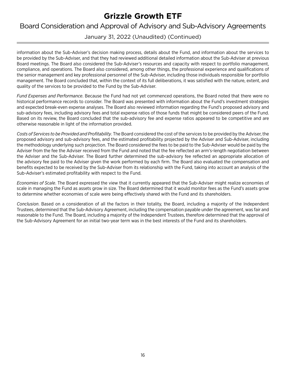## Board Consideration and Approval of Advisory and Sub-Advisory Agreements

January 31, 2022 (Unaudited) (Continued)

information about the Sub-Adviser's decision making process, details about the Fund, and information about the services to be provided by the Sub-Adviser, and that they had reviewed additional detailed information about the Sub-Adviser at previous Board meetings. The Board also considered the Sub-Adviser's resources and capacity with respect to portfolio management, compliance, and operations. The Board also considered, among other things, the professional experience and qualifications of the senior management and key professional personnel of the Sub-Adviser, including those individuals responsible for portfolio management. The Board concluded that, within the context of its full deliberations, it was satisfied with the nature, extent, and quality of the services to be provided to the Fund by the Sub-Adviser.

*Fund Expenses and Performance*. Because the Fund had not yet commenced operations, the Board noted that there were no historical performance records to consider. The Board was presented with information about the Fund's investment strategies and expected break-even expense analyses. The Board also reviewed information regarding the Fund's proposed advisory and sub-advisory fees, including advisory fees and total expense ratios of those funds that might be considered peers of the Fund. Based on its review, the Board concluded that the sub-advisory fee and expense ratios appeared to be competitive and are otherwise reasonable in light of the information provided.

*Costs of Services to be Provided and Profitability*. The Board considered the cost of the services to be provided by the Adviser, the proposed advisory and sub-advisory fees, and the estimated profitability projected by the Adviser and Sub-Adviser, including the methodology underlying such projection. The Board considered the fees to be paid to the Sub-Adviser would be paid by the Adviser from the fee the Adviser received from the Fund and noted that the fee reflected an arm's-length negotiation between the Adviser and the Sub-Adviser. The Board further determined the sub-advisory fee reflected an appropriate allocation of the advisory fee paid to the Adviser given the work performed by each firm. The Board also evaluated the compensation and benefits expected to be received by the Sub-Adviser from its relationship with the Fund, taking into account an analysis of the Sub-Adviser's estimated profitability with respect to the Fund.

*Economies of Scale*. The Board expressed the view that it currently appeared that the Sub-Adviser might realize economies of scale in managing the Fund as assets grow in size. The Board determined that it would monitor fees as the Fund's assets grow to determine whether economies of scale were being effectively shared with the Fund and its shareholders.

*Conclusion*. Based on a consideration of all the factors in their totality, the Board, including a majority of the Independent Trustees, determined that the Sub-Advisory Agreement, including the compensation payable under the agreement, was fair and reasonable to the Fund. The Board, including a majority of the Independent Trustees, therefore determined that the approval of the Sub-Advisory Agreement for an initial two-year term was in the best interests of the Fund and its shareholders.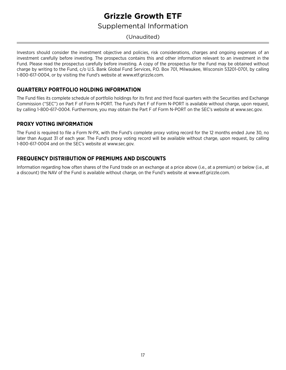## Supplemental Information

## <span id="page-18-0"></span>(Unaudited)

Investors should consider the investment objective and policies, risk considerations, charges and ongoing expenses of an investment carefully before investing. The prospectus contains this and other information relevant to an investment in the Fund. Please read the prospectus carefully before investing. A copy of the prospectus for the Fund may be obtained without charge by writing to the Fund, c/o U.S. Bank Global Fund Services, P.O. Box 701, Milwaukee, Wisconsin 53201-0701, by calling 1-800-617-0004, or by visiting the Fund's website at www.etf.grizzle.com.

## **QUARTERLY PORTFOLIO HOLDING INFORMATION**

The Fund files its complete schedule of portfolio holdings for its first and third fiscal quarters with the Securities and Exchange Commission ("SEC") on Part F of Form N-PORT. The Fund's Part F of Form N-PORT is available without charge, upon request, by calling 1-800-617-0004. Furthermore, you may obtain the Part F of Form N-PORT on the SEC's website at www.sec.gov.

### **PROXY VOTING INFORMATION**

The Fund is required to file a Form N-PX, with the Fund's complete proxy voting record for the 12 months ended June 30, no later than August 31 of each year. The Fund's proxy voting record will be available without charge, upon request, by calling 1-800-617-0004 and on the SEC's website at www.sec.gov.

### **FREQUENCY DISTRIBUTION OF PREMIUMS AND DISCOUNTS**

Information regarding how often shares of the Fund trade on an exchange at a price above (i.e., at a premium) or below (i.e., at a discount) the NAV of the Fund is available without charge, on the Fund's website at www.etf.grizzle.com.